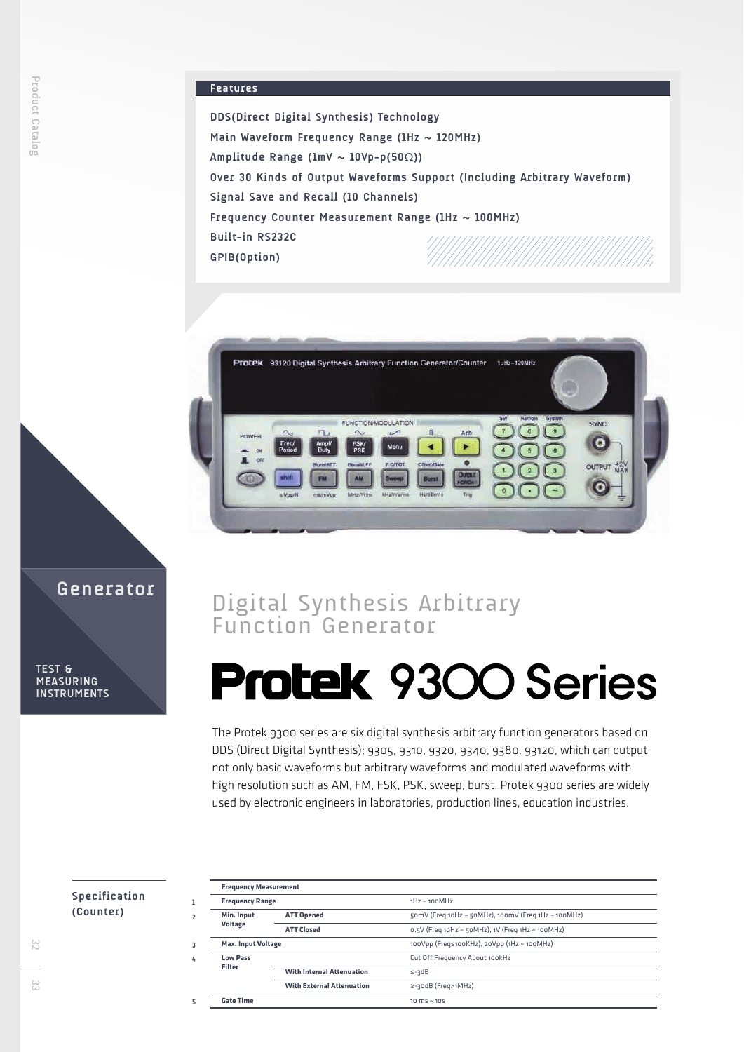# **Features**

**DDS(Direct Digital Synthesis) Technology Main Waveform Frequency Range (1Hz ~ 120MHz) Amplitude Range (1mV ~ 10Vp-p(50**Ω**)) Over 30 Kinds of Output Waveforms Support (Including Arbitrary Waveform) Signal Save and Recall (10 Channels) Frequency Counter Measurement Range (1Hz ~ 100MHz) Built-in RS232C GPIB(Option)**



# Digital Synthesis Arbitrary Function Generator

# **Protek 9300 Series**

The Protek 9300 series are six digital synthesis arbitrary function generators based on DDS (Direct Digital Synthesis); 9305, 9310, 9320, 9340, 9380, 93120, which can output not only basic waveforms but arbitrary waveforms and modulated waveforms with high resolution such as AM, FM, FSK, PSK, sweep, burst. Protek 9300 series are widely used by electronic engineers in laboratories, production lines, education industries.

# **Specification**

| <b>SPECIFICALIOI</b> |  |  |
|----------------------|--|--|
| (Counter)            |  |  |

**Generator**

| <b>Frequency Range</b>       |                                  | $1Hz \sim 100 MHz$                                    |
|------------------------------|----------------------------------|-------------------------------------------------------|
| Min. Input<br><b>Voltage</b> | <b>ATT Opened</b>                | 50mV (Freq 10Hz ~ 50MHz), 100mV (Freq 1Hz ~ 100MHz)   |
|                              | <b>ATT Closed</b>                | $0.5V$ (Freq 10Hz ~ $50MHz$ ), 1V (Freq 1Hz ~ 100MHz) |
| <b>Max. Input Voltage</b>    |                                  | 100Vpp (Freq≤100КHz), 20Vpp (1Hz ~ 100МHz)            |
| <b>Low Pass</b><br>Filter    |                                  | Cut Off Frequency About 100kHz                        |
|                              | <b>With Internal Attenuation</b> | $\leq -3dB$                                           |
|                              | <b>With External Attenuation</b> | ≥-30dB (Freq>1MHz)                                    |
| <b>Gate Time</b>             |                                  | 10 $ms \sim$ 105                                      |

32

**TEST & MEASURING INSTRUMENTS**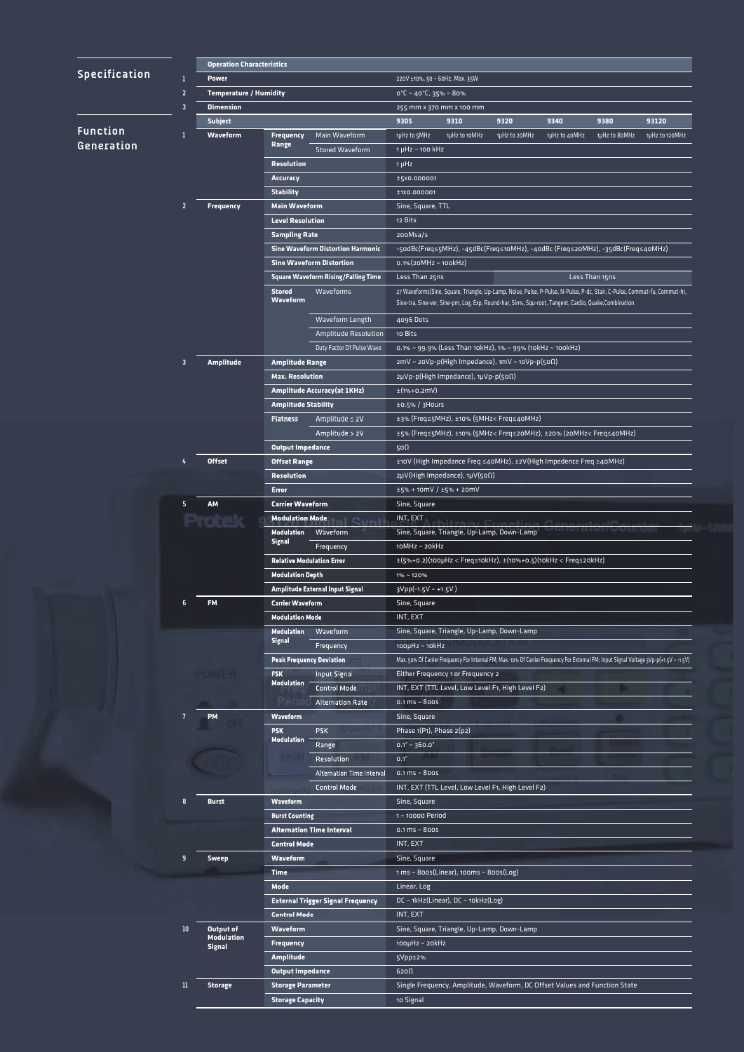|                                           | <b>Operation Characteristics</b> |                                                   |                                  |                                            |                                                                        |                                                              |                                                                                                                           |               |                |                                                                                                                                         |
|-------------------------------------------|----------------------------------|---------------------------------------------------|----------------------------------|--------------------------------------------|------------------------------------------------------------------------|--------------------------------------------------------------|---------------------------------------------------------------------------------------------------------------------------|---------------|----------------|-----------------------------------------------------------------------------------------------------------------------------------------|
| Specification                             | 1                                | <b>Power</b>                                      | 220V ±10%, 50 ~ 60Hz, Max. 35W   |                                            |                                                                        |                                                              |                                                                                                                           |               |                |                                                                                                                                         |
| $\overline{2}$<br>$\overline{\mathbf{3}}$ |                                  | <b>Temperature / Humidity</b><br><b>Dimension</b> |                                  |                                            | $0^{\circ}$ C ~ 40 $^{\circ}$ C, 35% ~ 80%<br>255 mm x 370 mm x 100 mm |                                                              |                                                                                                                           |               |                |                                                                                                                                         |
|                                           |                                  |                                                   |                                  |                                            |                                                                        |                                                              |                                                                                                                           |               |                |                                                                                                                                         |
| <b>Function</b>                           | ♦                                | Waveform                                          | <b>Frequency</b>                 | Main Waveform                              | 1µHz to 5MHz                                                           | 1µHz to 10MHz                                                | 1µHz to 20MHz                                                                                                             | 1µHz to 40MHz | 1µHz to 8oMHz  | 1µHz to 120MHz                                                                                                                          |
| Generation                                |                                  |                                                   | Range                            | <b>Stored Waveform</b>                     | 1 µHz ~ 100 kHz                                                        |                                                              |                                                                                                                           |               |                |                                                                                                                                         |
|                                           |                                  |                                                   | <b>Resolution</b>                |                                            | $1 \mu$ Hz                                                             |                                                              |                                                                                                                           |               |                |                                                                                                                                         |
|                                           |                                  |                                                   | <b>Accuracy</b>                  |                                            | ±5X0.000001                                                            |                                                              |                                                                                                                           |               |                |                                                                                                                                         |
|                                           |                                  |                                                   | <b>Stability</b>                 |                                            | ±1X0.000001                                                            |                                                              |                                                                                                                           |               |                |                                                                                                                                         |
|                                           | 2                                | <b>Frequency</b>                                  | <b>Main Waveform</b>             |                                            | Sine, Square, TTL                                                      |                                                              |                                                                                                                           |               |                |                                                                                                                                         |
|                                           |                                  |                                                   | <b>Level Resolution</b>          |                                            | 12 Bits                                                                |                                                              |                                                                                                                           |               |                |                                                                                                                                         |
|                                           |                                  |                                                   | <b>Sampling Rate</b>             |                                            | 200Msa/s                                                               |                                                              |                                                                                                                           |               |                |                                                                                                                                         |
|                                           |                                  |                                                   |                                  | <b>Sine Waveform Distortion Harmonic</b>   |                                                                        |                                                              | -5odBc(Freq≤5MHz), -45dBc(Freq≤1oMHz), -4odBc (Freq≤2oMHz), -35dBc(Freq≤4oMHz)                                            |               |                |                                                                                                                                         |
|                                           |                                  |                                                   |                                  | <b>Sine Waveform Distortion</b>            | $0.1\%$ (20MHz ~ 100kHz)                                               |                                                              |                                                                                                                           |               |                |                                                                                                                                         |
|                                           |                                  |                                                   |                                  | <b>Square Waveform Rising/Falling Time</b> | Less Than 25ns                                                         |                                                              |                                                                                                                           |               | Less Than 15ns |                                                                                                                                         |
|                                           |                                  |                                                   | <b>Stored</b>                    | Waveforms                                  |                                                                        |                                                              | 27 Waveforms(Sine, Square, Triangle, Up-Lamp, Noise, Pulse, P-Pulse, N-Pulse, P-dc, Stair, C-Pulse, Commut-fu, Commut-hr, |               |                |                                                                                                                                         |
|                                           |                                  |                                                   | <b>Waveform</b>                  |                                            |                                                                        |                                                              | Sine-tra, Sine-ver, Sine-pm, Log, Exp, Round-har, Sin%, Squ-root, Tangent, Cardio, Quake,Combination                      |               |                |                                                                                                                                         |
|                                           |                                  |                                                   |                                  | Waveform Length                            | 4096 Dots                                                              |                                                              |                                                                                                                           |               |                |                                                                                                                                         |
|                                           |                                  |                                                   |                                  | Amplitude Resolution                       | 10 Bits                                                                |                                                              |                                                                                                                           |               |                |                                                                                                                                         |
|                                           |                                  |                                                   |                                  | Duty Factor Of Pulse Wave                  |                                                                        |                                                              | 0.1% ~ 99.9% (Less Than 10kHz), 1% ~ 99% (10kHz ~ 100kHz)                                                                 |               |                |                                                                                                                                         |
|                                           | $\overline{\mathbf{3}}$          | <b>Amplitude</b>                                  | <b>Amplitude Range</b>           |                                            |                                                                        |                                                              | 2mV ~ 20Vp-p(High Impedance), 1mV ~ 10Vp-p(50Ω)                                                                           |               |                |                                                                                                                                         |
|                                           |                                  |                                                   | <b>Max. Resolution</b>           |                                            |                                                                        | 2μVp-p(High Impedance), 1μVp-p(50Ω)                          |                                                                                                                           |               |                |                                                                                                                                         |
|                                           |                                  |                                                   |                                  | <b>Amplitude Accuracy(at 1KHz)</b>         | $\pm$ (1%+0.2mV)                                                       |                                                              |                                                                                                                           |               |                |                                                                                                                                         |
|                                           |                                  |                                                   | <b>Amplitude Stability</b>       |                                            | ±0.5% / 3Hours                                                         |                                                              |                                                                                                                           |               |                |                                                                                                                                         |
|                                           |                                  |                                                   | <b>Flatness</b>                  | Amplitude ≤ 2V                             |                                                                        |                                                              | ±3% (Freq≤5MHz), ±10% (5MHz< Freq≤40MHz)                                                                                  |               |                |                                                                                                                                         |
|                                           |                                  |                                                   |                                  | Amplitude > 2V                             |                                                                        |                                                              | ±5% (Freq≤5MHz), ±10% (5MHz< Freq≤20MHz), ±20% (20MHz< Freq≤40MHz)                                                        |               |                |                                                                                                                                         |
|                                           |                                  |                                                   | <b>Output Impedance</b>          |                                            | 500                                                                    |                                                              |                                                                                                                           |               |                |                                                                                                                                         |
|                                           | 4                                | <b>Offset</b>                                     | <b>Offset Range</b>              |                                            |                                                                        |                                                              | ±10V (High Impedance Freq ≤40MHz), ±2V(High Impedence Freq ≥40MHz)                                                        |               |                |                                                                                                                                         |
|                                           |                                  |                                                   | <b>Resolution</b>                |                                            | 2μV(High Impedance), 1μV(50Ω)                                          |                                                              |                                                                                                                           |               |                |                                                                                                                                         |
|                                           |                                  |                                                   | Error                            |                                            | ±5% + 10mV / ±5% + 20mV                                                |                                                              |                                                                                                                           |               |                |                                                                                                                                         |
|                                           | 5                                | AM                                                | <b>Carrier Waveform</b>          |                                            | Sine, Square                                                           |                                                              |                                                                                                                           |               |                |                                                                                                                                         |
|                                           |                                  |                                                   | <b>Modulation Mode</b>           |                                            | INT, EXT                                                               |                                                              |                                                                                                                           |               |                |                                                                                                                                         |
|                                           |                                  |                                                   | Modulation                       | Waveform                                   |                                                                        |                                                              | Sine, Square, Triangle, Up-Lamp, Down-Lamp                                                                                |               |                |                                                                                                                                         |
|                                           |                                  |                                                   | Signal                           | Frequency                                  | 10MHz ~ 20kHz                                                          |                                                              |                                                                                                                           |               |                |                                                                                                                                         |
|                                           |                                  |                                                   | <b>Relative Modulation Error</b> |                                            |                                                                        |                                                              | $\pm$ (5%+0.2)(100µHz < Freq≤10kHz), $\pm$ (10%+0.5)(10kHz < Freq≤20kHz)                                                  |               |                |                                                                                                                                         |
|                                           |                                  |                                                   | <b>Modulation Depth</b>          |                                            | 1%~120%                                                                |                                                              |                                                                                                                           |               |                |                                                                                                                                         |
|                                           |                                  |                                                   |                                  | Amplitude External Input Signal            | $3Vpp(-1.5V - +1.5V)$                                                  |                                                              |                                                                                                                           |               |                |                                                                                                                                         |
|                                           | 6                                | <b>FM</b>                                         | <b>Carrier Waveform</b>          |                                            | Sine, Square                                                           |                                                              |                                                                                                                           |               |                |                                                                                                                                         |
|                                           |                                  |                                                   | <b>Modulation Mode</b>           |                                            | INT, EXT                                                               |                                                              |                                                                                                                           |               |                |                                                                                                                                         |
|                                           |                                  |                                                   | Modulation<br><b>Signal</b>      | Waveform                                   |                                                                        |                                                              | Sine, Square, Triangle, Up-Lamp, Down-Lamp                                                                                |               |                |                                                                                                                                         |
|                                           |                                  |                                                   |                                  | Frequency                                  | $100\mu$ Hz ~ $10\text{kHz}$                                           |                                                              |                                                                                                                           |               |                |                                                                                                                                         |
|                                           |                                  |                                                   | <b>Peak Frequency Deviation</b>  |                                            |                                                                        |                                                              |                                                                                                                           |               |                | Max. 50% Of Carrier Frequency For Internal FM; Max. 10% Of Carrier Frequency For External FM; Input Signal Voltage 3Vp-p(+1.5V ~ -1.5V) |
|                                           |                                  |                                                   | <b>FSK</b><br><b>Modulation</b>  | <b>Input Signal</b>                        |                                                                        | Either Frequency 1 or Frequency 2                            |                                                                                                                           |               |                |                                                                                                                                         |
|                                           |                                  |                                                   |                                  | <b>Control Mode</b>                        |                                                                        |                                                              | INT, EXT (TTL Level, Low Level F1, High Level F2)                                                                         |               |                |                                                                                                                                         |
|                                           |                                  |                                                   |                                  | <b>Alternation Rate</b>                    | 0.1 ms $\sim$ 800s                                                     |                                                              |                                                                                                                           |               |                |                                                                                                                                         |
|                                           | 7                                | <b>PM</b>                                         | Waveform                         |                                            | Sine, Square                                                           |                                                              |                                                                                                                           |               |                |                                                                                                                                         |
|                                           |                                  |                                                   | <b>PSK</b><br>Modulation         | <b>PSK</b>                                 | Phase 1(P1), Phase 2(p2)                                               |                                                              |                                                                                                                           |               |                |                                                                                                                                         |
|                                           |                                  |                                                   |                                  | Range                                      | $0.1^{\circ}$ ~ 360.0°                                                 |                                                              |                                                                                                                           |               |                |                                                                                                                                         |
|                                           |                                  |                                                   |                                  | Resolution                                 | $0.1^\circ$                                                            |                                                              |                                                                                                                           |               |                |                                                                                                                                         |
|                                           |                                  |                                                   |                                  | Alternation Time Interval                  | $0.1 \, \text{ms} \sim 800 \, \text{s}$                                |                                                              |                                                                                                                           |               |                |                                                                                                                                         |
|                                           |                                  |                                                   |                                  | <b>Control Mode</b>                        |                                                                        |                                                              | INT, EXT (TTL Level, Low Level F1, High Level F2)                                                                         |               |                |                                                                                                                                         |
|                                           | 8                                | <b>Burst</b>                                      | Waveform                         |                                            | Sine, Square                                                           |                                                              |                                                                                                                           |               |                |                                                                                                                                         |
|                                           |                                  |                                                   | <b>Burst Counting</b>            |                                            | 1~10000 Period                                                         |                                                              |                                                                                                                           |               |                |                                                                                                                                         |
|                                           |                                  |                                                   |                                  | <b>Alternation Time Interval</b>           | 0.1 ms $\sim$ 800s                                                     |                                                              |                                                                                                                           |               |                |                                                                                                                                         |
|                                           |                                  |                                                   | <b>Control Mode</b>              |                                            | INT, EXT                                                               |                                                              |                                                                                                                           |               |                |                                                                                                                                         |
|                                           | 9                                | <b>Sweep</b>                                      | Waveform                         |                                            | Sine, Square                                                           |                                                              |                                                                                                                           |               |                |                                                                                                                                         |
|                                           |                                  |                                                   | Time                             |                                            |                                                                        | $1 \text{ ms} \sim 800 \text{s}$ (Linear), 100ms ~ 800s(Log) |                                                                                                                           |               |                |                                                                                                                                         |
|                                           |                                  |                                                   | Mode                             |                                            | Linear, Log                                                            |                                                              |                                                                                                                           |               |                |                                                                                                                                         |
|                                           |                                  |                                                   |                                  | <b>External Trigger Signal Frequency</b>   |                                                                        | DC ~ 1kHz(Linear), DC ~ 10kHz(Log)                           |                                                                                                                           |               |                |                                                                                                                                         |
|                                           |                                  |                                                   | <b>Control Mode</b>              |                                            | INT, EXT                                                               |                                                              |                                                                                                                           |               |                |                                                                                                                                         |
|                                           | $10\,$                           | Output of<br><b>Modulation</b>                    | Waveform                         |                                            |                                                                        |                                                              | Sine, Square, Triangle, Up-Lamp, Down-Lamp                                                                                |               |                |                                                                                                                                         |
|                                           |                                  | <b>Signal</b>                                     | <b>Frequency</b>                 |                                            | 100µHz ~ 20kHz                                                         |                                                              |                                                                                                                           |               |                |                                                                                                                                         |
|                                           |                                  |                                                   | <b>Amplitude</b>                 |                                            | 5Vpp±2%                                                                |                                                              |                                                                                                                           |               |                |                                                                                                                                         |
|                                           |                                  |                                                   | <b>Output Impedance</b>          |                                            | 620 <sub>0</sub>                                                       |                                                              |                                                                                                                           |               |                |                                                                                                                                         |
|                                           | $\scriptstyle\rm II$             | <b>Storage</b>                                    | <b>Storage Parameter</b>         |                                            |                                                                        |                                                              | Single Frequency, Amplitude, Waveform, DC Offset Values and Function State                                                |               |                |                                                                                                                                         |
|                                           |                                  |                                                   | <b>Storage Capacity</b>          |                                            | 10 Signal                                                              |                                                              |                                                                                                                           |               |                |                                                                                                                                         |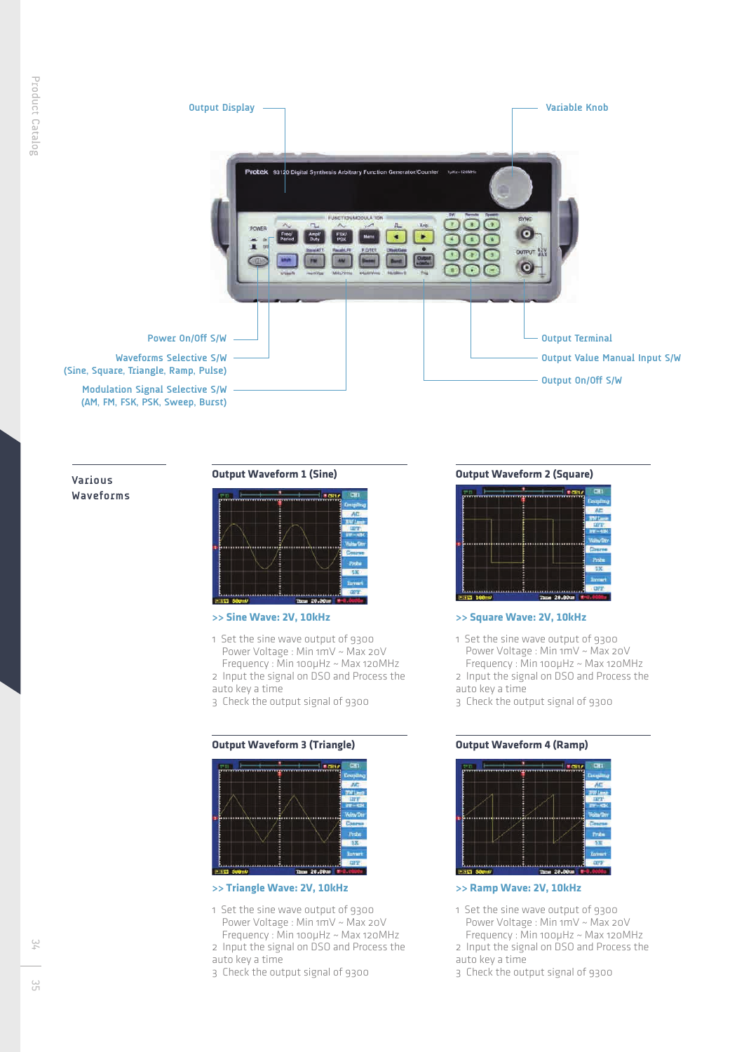

**Various Waveforms**

# **Output Waveform 1 (Sine)**



#### **>> Sine Wave: 2V, 10kHz**

- 1 Set the sine wave output of 9300 Power Voltage : Min 1mV ~ Max 20V Frequency : Min 100µHz ~ Max 120MHz 2 Input the signal on DSO and Process the auto key a time
- 3 Check the output signal of 9300

# **Output Waveform 3 (Triangle)**



# **>> Triangle Wave: 2V, 10kHz**

- 1 Set the sine wave output of 9300 Power Voltage : Min 1mV ~ Max 20V Frequency : Min 100µHz ~ Max 120MHz 2 Input the signal on DSO and Process the
- auto key a time
- 3 Check the output signal of 9300

# **Output Waveform 2 (Square)**



### **>> Square Wave: 2V, 10kHz**

- 1 Set the sine wave output of 9300 Power Voltage : Min 1mV ~ Max 20V Frequency : Min 100µHz ~ Max 120MHz 2 Input the signal on DSO and Process the auto key a time
- 3 Check the output signal of 9300

# **Output Waveform 4 (Ramp)**



#### **>> Ramp Wave: 2V, 10kHz**

- 1 Set the sine wave output of 9300 Power Voltage : Min 1mV ~ Max 20V Frequency : Min 100µHz ~ Max 120MHz
- 2 Input the signal on DSO and Process the auto key a time
- 
- 3 Check the output signal of 9300

یں<br>55